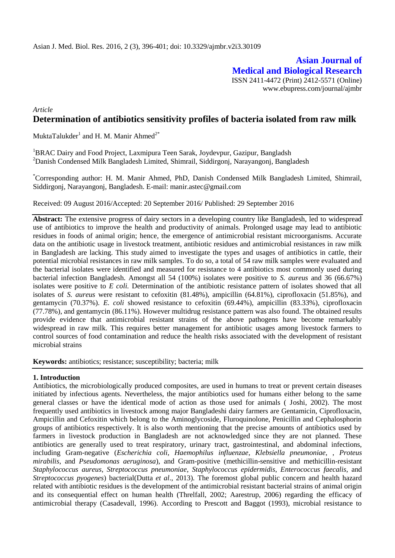**Asian Journal of Medical and Biological Research** ISSN 2411-4472 (Print) 2412-5571 (Online) www.ebupress.com/journal/ajmbr

# *Article* **Determination of antibiotics sensitivity profiles of bacteria isolated from raw milk**

MuktaTalukder<sup>1</sup> and H. M. Manir Ahmed<sup>2\*</sup>

<sup>1</sup>BRAC Dairy and Food Project, Laxmipura Teen Sarak, Joydevpur, Gazipur, Bangladsh <sup>2</sup>Danish Condensed Milk Bangladesh Limited, Shimrail, Siddirgonj, Narayangonj, Bangladesh

\*Corresponding author: H. M. Manir Ahmed, PhD, Danish Condensed Milk Bangladesh Limited, Shimrail, Siddirgonj, Narayangonj, Bangladesh. E-mail: manir.astec@gmail.com

Received: 09 August 2016/Accepted: 20 September 2016/ Published: 29 September 2016

**Abstract:** The extensive progress of dairy sectors in a developing country like Bangladesh, led to widespread use of antibiotics to improve the health and productivity of animals. Prolonged usage may lead to antibiotic residues in foods of animal origin; hence, the emergence of antimicrobial resistant microorganisms. Accurate data on the antibiotic usage in livestock treatment, antibiotic residues and antimicrobial resistances in raw milk in Bangladesh are lacking. This study aimed to investigate the types and usages of antibiotics in cattle, their potential microbial resistances in raw milk samples. To do so, a total of 54 raw milk samples were evaluated and the bacterial isolates were identified and measured for resistance to 4 antibiotics most commonly used during bacterial infection Bangladesh. Amongst all 54 (100%) isolates were positive to *S. aureus* and 36 (66.67%) isolates were positive to *E coli.* Determination of the antibiotic resistance pattern of isolates showed that all isolates of *S. aureus* were resistant to cefoxitin (81.48%), ampicillin (64.81%), ciprofloxacin (51.85%), and gentamycin (70.37%). *E. coli* showed resistance to cefoxitin (69.44%), ampicillin (83.33%), ciprofloxacin (77.78%), and gentamycin (86.11%). However multidrug resistance pattern was also found. The obtained results provide evidence that antimicrobial resistant strains of the above pathogens have become remarkably widespread in raw milk. This requires better management for antibiotic usages among livestock farmers to control sources of food contamination and reduce the health risks associated with the development of resistant microbial strains

**Keywords:** antibiotics; resistance; susceptibility; bacteria; milk

## **1. Introduction**

Antibiotics, the microbiologically produced composites, are used in humans to treat or prevent certain diseases initiated by infectious agents. Nevertheless, the major antibiotics used for humans either belong to the same general classes or have the identical mode of action as those used for animals ( Joshi, 2002). The most frequently used antibiotics in livestock among major Bangladeshi dairy farmers are Gentamicin, Ciprofloxacin, Ampicillin and Cefoxitin which belong to the Aminoglycoside, Fluroquinolone, Penicillin and Cephalosphorin groups of antibiotics respectively. It is also worth mentioning that the precise amounts of antibiotics used by farmers in livestock production in Bangladesh are not acknowledged since they are not planned. These antibiotics are generally used to treat respiratory, urinary tract, gastrointestinal, and abdominal infections, including [Gram-negative](https://en.wikipedia.org/wiki/Gram-negative) (*[Escherichia coli](https://en.wikipedia.org/wiki/Escherichia_coli)*, *[Haemophilus influenzae](https://en.wikipedia.org/wiki/Haemophilus_influenzae)*, *[Klebsiella pneumoniae](https://en.wikipedia.org/wiki/Klebsiella_pneumoniae)*, , *[Proteus](https://en.wikipedia.org/wiki/Proteus_mirabilis)  [mirabilis](https://en.wikipedia.org/wiki/Proteus_mirabilis)*, and *[Pseudomonas aeruginosa](https://en.wikipedia.org/wiki/Pseudomonas_aeruginosa)*), and [Gram-positive](https://en.wikipedia.org/wiki/Gram-positive) (methicillin-sensitive and methicillin-resistant *[Staphylococcus aureus](https://en.wikipedia.org/wiki/Staphylococcus_aureus)*, *[Streptococcus pneumoniae](https://en.wikipedia.org/wiki/Streptococcus_pneumoniae)*, *[Staphylococcus epidermidis](https://en.wikipedia.org/wiki/Staphylococcus_epidermidis)*, *[Enterococcus faecalis](https://en.wikipedia.org/wiki/Enterococcus_faecalis)*, and *[Streptococcus pyogenes](https://en.wikipedia.org/wiki/Streptococcus_pyogenes)*) bacterial(Dutta *et al*., 2013). The foremost global public concern and health hazard related with antibiotic residues is the development of the antimicrobial resistant bacterial strains of animal origin and its consequential effect on human health (Threlfall, 2002; Aarestrup, 2006) regarding the efficacy of antimicrobial therapy (Casadevall, 1996). According to Prescott and Baggot (1993), microbial resistance to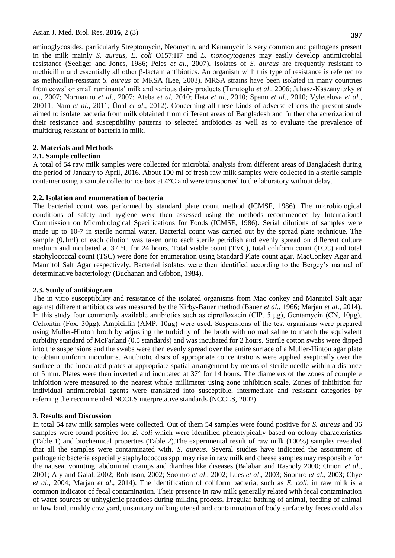aminoglycosides, particularly Streptomycin, Neomycin, and Kanamycin is very common and pathogens present in the milk mainly *S. aureus*, *E. coli* O157:H7 and *L. monocytogenes* may easily develop antimicrobial resistance (Seeliger and Jones, 1986; Peles *et al*., 2007). Isolates of *S. aureus* are frequently resistant to methicillin and essentially all other β-lactam antibiotics. An organism with this type of resistance is referred to as methicillin-resistant *S. aureus* or MRSA (Lee, 2003). MRSA strains have been isolated in many countries from cows' or small ruminants' milk and various dairy products (Turutoglu *et al*., 2006; Juhasz-Kaszanyitzky *et al*., 2007; Normanno *et al*., 2007; Ateba *et al*, 2010; Hata *et al*., 2010; Spanu *et al*., 2010; Vyletelova *et al*., 20011; Nam *et al*., 2011; Ünal *et al*., 2012). Concerning all these kinds of adverse effects the present study aimed to isolate bacteria from milk obtained from different areas of Bangladesh and further characterization of their resistance and susceptibility patterns to selected antibiotics as well as to evaluate the prevalence of multidrug resistant of bacteria in milk.

## **2. Materials and Methods**

## **2.1. Sample collection**

A total of 54 raw milk samples were collected for microbial analysis from different areas of Bangladesh during the period of January to April, 2016. About 100 ml of fresh raw milk samples were collected in a sterile sample container using a sample collector ice box at 4°C and were transported to the laboratory without delay.

## **2.2. Isolation and enumeration of bacteria**

The bacterial count was performed by standard plate count method (ICMSF, 1986). The microbiological conditions of safety and hygiene were then assessed using the methods recommended by International Commission on Microbiological Specifications for Foods (ICMSF, 1986). Serial dilutions of samples were made up to 10-7 in sterile normal water. Bacterial count was carried out by the spread plate technique. The sample (0.1ml) of each dilution was taken onto each sterile petridish and evenly spread on different culture medium and incubated at 37 °C for 24 hours. Total viable count (TVC), total coliform count (TCC) and total staphylococcal count (TSC) were done for enumeration using Standard Plate count agar, MacConkey Agar and Mannitol Salt Agar respectively. Bacterial isolates were then identified according to the Bergey's manual of determinative bacteriology (Buchanan and Gibbon, 1984).

## **2.3. Study of antibiogram**

The in vitro susceptibility and resistance of the isolated organisms from Mac conkey and Mannitol Salt agar against different antibiotics was measured by the Kirby-Bauer method (Bauer *et al*., 1966; Marjan *et al*., 2014). In this study four commonly available antibiotics such as ciprofloxacin (CIP, 5 μg), Gentamycin (CN, 10μg), Cefoxitin (Fox, 30μg), Ampicillin (AMP, 10μg) were used. Suspensions of the test organisms were prepared using Muller-Hinton broth by adjusting the turbidity of the broth with normal saline to match the equivalent turbidity standard of McFarland (0.5 standards) and was incubated for 2 hours. Sterile cotton swabs were dipped into the suspensions and the swabs were then evenly spread over the entire surface of a Muller-Hinton agar plate to obtain uniform inoculums. Antibiotic discs of appropriate concentrations were applied aseptically over the surface of the inoculated plates at appropriate spatial arrangement by means of sterile needle within a distance of 5 mm. Plates were then inverted and incubated at 37° for 14 hours. The diameters of the zones of complete inhibition were measured to the nearest whole millimeter using zone inhibition scale. Zones of inhibition for individual antimicrobial agents were translated into susceptible, intermediate and resistant categories by referring the recommended NCCLS interpretative standards (NCCLS, 2002).

## **3. Results and Discussion**

In total 54 raw milk samples were collected. Out of them 54 samples were found positive for *S. aureus* and 36 samples were found positive for *E. coli* which were identified phenotypically based on colony characteristics (Table 1) and biochemical properties (Table 2).The experimental result of raw milk (100%) samples revealed that all the samples were contaminated with. *S. aureus*. Several studies have indicated the assortment of pathogenic bacteria especially staphylococcus spp. may rise in raw milk and cheese samples may responsible for the nausea, vomiting, abdominal cramps and diarrhea like diseases (Balaban and Rasooly 2000; Omori *et al*., 2001; Aly and Galal, 2002; Robinson, 2002; Soomro *et al*., 2002; Lues *et al*., 2003; Soomro *et al*., 2003; Chye *et al*., 2004; Marjan *et al*., 2014). The identification of coliform bacteria, such as *E. coli*, in raw milk is a common indicator of fecal contamination. Their presence in raw milk generally related with fecal contamination of water sources or unhygienic practices during milking process. Irregular bathing of animal, feeding of animal in low land, muddy cow yard, unsanitary milking utensil and contamination of body surface by feces could also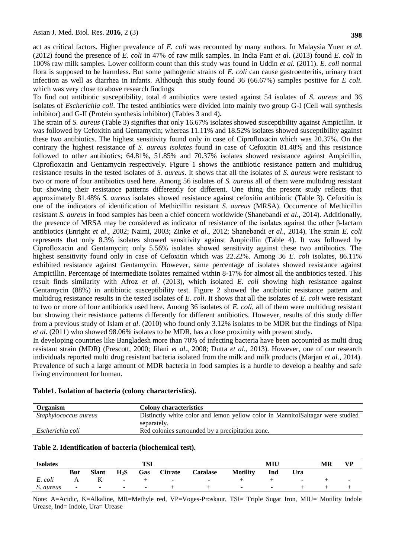act as critical factors. Higher prevalence of *E. coli* was recounted by many authors. In Malaysia Yuen *et al.*  (2012) found the presence of *E. coli* in 47% of raw milk samples. In India Pant *et al*. (2013) found *E. coli* in 100% raw milk samples*.* Lower coliform count than this study was found in Uddin *et al.* (2011). *E. coli* normal flora is supposed to be harmless. But some pathogenic strains of *E. coli* can cause gastroenteritis, urinary tract infection as well as diarrhea in infants. Although this study found 36 (66.67%) samples positive for *E coli.*  which was very close to above research findings

To find out antibiotic susceptibility, total 4 antibiotics were tested against 54 isolates of *S. aureus* and 36 isolates of *Escherichia coli*. The tested antibiotics were divided into mainly two group G-I (Cell wall synthesis inhibitor) and G-II (Protein synthesis inhibitor) (Tables 3 and 4).

The strain of *S. aureus* (Table 3) signifies that only 16.67% isolates showed susceptibility against Ampicillin. It was followed by Cefoxitin and Gentamycin; whereas 11.11% and 18.52% isolates showed susceptibility against these two antibiotics. The highest sensitivity found only in case of Ciprofloxacin which was 20.37%. On the contrary the highest resistance of *S. aureus isolates* found in case of Cefoxitin 81.48% and this resistance followed to other antibiotics; 64.81%, 51.85% and 70.37% isolates showed resistance against Ampicillin, Ciprofloxacin and Gentamycin respectively. Figure 1 shows the antibiotic resistance pattern and multidrug resistance results in the tested isolates of *S. aureus*. It shows that all the isolates of *S. aureus* were resistant to two or more of four antibiotics used here. Among 56 isolates of *S. aureus* all of them were multidrug resistant but showing their resistance patterns differently for different. One thing the present study reflects that approximately 81.48% *S. aureus* isolates showed resistance against cefoxitin antibiotic (Table 3). Cefoxitin is one of the indicators of identification of Methicillin resistant *S. aureus* (MRSA). Occurrence of Methicillin resistant *S. aureus* in food samples has been a chief concern worldwide (Shanebandi *et al*., 2014). Additionally, the presence of MRSA may be considered as indicator of resistance of the isolates against the other β-lactam antibiotics (Enright *et al*., 2002; Naimi, 2003; Zinke *et al*., 2012; Shanebandi *et al*., 2014). The strain *E. coli* represents that only 8.3% isolates showed sensitivity against Ampicillin (Table 4). It was followed by Ciprofloxacin and Gentamycin; only 5.56% isolates showed sensitivity against these two antibiotics. The highest sensitivity found only in case of Cefoxitin which was 22.22%. Among 36 *E. coli* isolates, 86.11% exhibited resistance against Gentamycin. However, same percentage of isolates showed resistance against Ampicillin. Percentage of intermediate isolates remained within 8-17% for almost all the antibiotics tested. This result finds similarity with Afroz *et al*. (2013), which isolated *E. coli* showing high resistance against Gentamycin (88%) in antibiotic susceptibility test. Figure 2 showed the antibiotic resistance pattern and multidrug resistance results in the tested isolates of *E. coli*. It shows that all the isolates of *E. coli* were resistant to two or more of four antibiotics used here. Among 36 isolates of *E. coli*, all of them were multidrug resistant but showing their resistance patterns differently for different antibiotics. However, results of this study differ from a previous study of Islam *et al*. (2010) who found only 3.12% isolates to be MDR but the findings of Nipa *et al.* (2011) who showed 98.06% isolates to be MDR, has a close proximity with present study.

In developing countries like Bangladesh more than 70% of infecting bacteria have been accounted as multi drug resistant strain (MDR) (Prescott, 2000; Jilani *et al*., 2008; Dutta *et al*., 2013). However, one of our research individuals reported multi drug resistant bacteria isolated from the milk and milk products (Marjan *et al*., 2014). Prevalence of such a large amount of MDR bacteria in food samples is a hurdle to develop a healthy and safe living environment for human.

#### **Table1. Isolation of bacteria (colony characteristics).**

| Organism                     | <b>Colony characteristics</b>                                                  |
|------------------------------|--------------------------------------------------------------------------------|
| <i>Staphylococcus aureus</i> | Distinctly white color and lemon yellow color in MannitolSaltagar were studied |
|                              | separately.                                                                    |
| Escherichia coli             | Red colonies surrounded by a precipitation zone.                               |

#### **Table 2. Identification of bacteria (biochemical test).**

| <b>Isolates</b> | TSI        |        |        |        | MIU                      |                          |                 | MR     | VD.                      |  |        |
|-----------------|------------|--------|--------|--------|--------------------------|--------------------------|-----------------|--------|--------------------------|--|--------|
|                 | <b>But</b> | Slant  | $H_2S$ | Gas    | <b>Citrate</b>           | <b>Catalase</b>          | <b>Motility</b> | Ind    | Ura                      |  |        |
| E. coli         |            | 17     | $\sim$ |        | $\overline{\phantom{0}}$ | $\overline{\phantom{0}}$ |                 |        | $\overline{\phantom{0}}$ |  | $\sim$ |
| S. aureus       | -          | $\sim$ | $\sim$ | $\sim$ |                          |                          | $\sim$          | $\sim$ |                          |  |        |

Note: A=Acidic, K=Alkaline, MR=Methyle red, VP=Voges-Proskaur, TSI= Triple Sugar Iron, MIU= Motility Indole Urease, Ind= Indole, Ura= Urease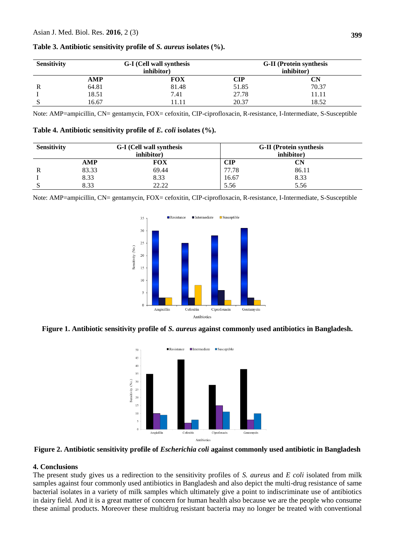| <b>Sensitivity</b> |            | G-I (Cell wall synthesis | <b>G-II</b> (Protein synthesis) |                      |  |
|--------------------|------------|--------------------------|---------------------------------|----------------------|--|
|                    |            | inhibitor)               | inhibitor)                      |                      |  |
|                    | <b>AMP</b> | FOX                      | CIP                             | $\mathbf C\mathbf N$ |  |
| R                  | 64.81      | 81.48                    | 51.85                           | 70.37                |  |
|                    | 18.51      | 7.41                     | 27.78                           | 11.11                |  |
|                    | 16.67      | 11.11                    | 20.37                           | 18.52                |  |

**Table 3. Antibiotic sensitivity profile of** *S. aureus* **isolates (%).**

Note: AMP=ampicillin, CN= gentamycin, FOX= cefoxitin, CIP-ciprofloxacin, R-resistance, I-Intermediate, S-Susceptible

| Table 4. Antibiotic sensitivity profile of E. coli isolates (%). |  |  |  |
|------------------------------------------------------------------|--|--|--|
|------------------------------------------------------------------|--|--|--|

| <b>Sensitivity</b> |       | G-I (Cell wall synthesis<br>inhibitor) | <b>G-II</b> (Protein synthesis<br>inhibitor) |       |  |
|--------------------|-------|----------------------------------------|----------------------------------------------|-------|--|
|                    | AMP   | <b>FOX</b>                             | <b>CIP</b>                                   | CN    |  |
|                    | 83.33 | 69.44                                  | 77.78                                        | 86.11 |  |
|                    | 8.33  | 8.33                                   | 16.67                                        | 8.33  |  |
|                    | 8.33  | 22.22                                  | 5.56                                         | 5.56  |  |

Note: AMP=ampicillin, CN= gentamycin, FOX= cefoxitin, CIP-ciprofloxacin, R-resistance, I-Intermediate, S-Susceptible



**Figure 1. Antibiotic sensitivity profile of** *S. aureus* **against commonly used antibiotics in Bangladesh.**



**Figure 2. Antibiotic sensitivity profile of** *Escherichia coli* **against commonly used antibiotic in Bangladesh**

## **4. Conclusions**

The present study gives us a redirection to the sensitivity profiles of *S. aureus* and *E coli* isolated from milk samples against four commonly used antibiotics in Bangladesh and also depict the multi-drug resistance of same bacterial isolates in a variety of milk samples which ultimately give a point to indiscriminate use of antibiotics in dairy field. And it is a great matter of concern for human health also because we are the people who consume these animal products. Moreover these multidrug resistant bacteria may no longer be treated with conventional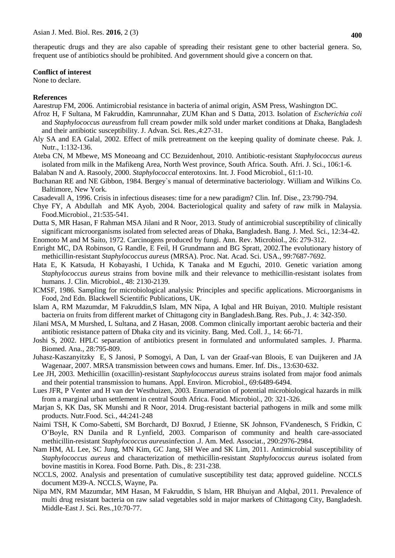therapeutic drugs and they are also capable of spreading their resistant gene to other bacterial genera. So, frequent use of antibiotics should be prohibited. And government should give a concern on that.

#### **Conflict of interest**

None to declare.

#### **References**

Aarestrup FM, 2006. Antimicrobial resistance in bacteria of animal origin, ASM Press, Washington DC.

- Afroz H, F Sultana, M Fakruddin, Kamrunnahar, ZUM Khan and S Datta, 2013. Isolation of *Escherichia coli*  and *Staphylococcus aureus*from full cream powder milk sold under market conditions at Dhaka, Bangladesh and their antibiotic susceptibility. J. Advan. Sci. Res.,4:27-31.
- Aly SA and EA Galal, 2002. Effect of milk pretreatment on the keeping quality of dominate cheese. Pak. J. Nutr., 1:132-136.
- Ateba CN, M Mbewe, MS Moneoang and CC Bezuidenhout, 2010. Antibiotic-resistant *Staphylococcus aureus* isolated from milk in the Mafikeng Area, North West province, South Africa. South. Afri. J. Sci., 106:1-6.
- Balaban N and A. Rasooly, 2000. *Staphylococcal* enterotoxins. Int. J. Food Microbiol., 61:1-10.
- Buchanan RE and NE Gibbon, 1984. Bergey`s manual of determinative bacteriology. William and Wilkins Co. Baltimore, New York.
- Casadevall A, 1996. Crisis in infectious diseases: time for a new paradigm? Clin. Inf. Dise., 23:790-794.
- Chye FY, A Abdullah and MK Ayob, 2004. Bacteriological quality and safety of raw milk in Malaysia. Food.Microbiol., 21:535-541.
- Dutta S, MR Hasan, F Rahman MSA Jilani and R Noor, 2013. Study of antimicrobial susceptibility of clinically significant microorganisms isolated from selected areas of Dhaka, Bangladesh. Bang. J. Med. Sci., 12:34-42.
- Enomoto M and M Saito, 1972. Carcinogens produced by fungi. Ann. Rev. Microbiol., 26: 279-312.
- Enright MC, DA Robinson, G Randle, E Feil, H Grundmann and BG Spratt, 2002.The evolutionary history of methicillin-resistant *Staphylococcus aureus* (MRSA). Proc. Nat. Acad. Sci. USA., 99:7687-7692.
- Hata E, K Katsuda, H Kobayashi, I Uchida, K Tanaka and M Eguchi, 2010. Genetic variation among *Staphylococcus aureus* strains from bovine milk and their relevance to methicillin-resistant isolates from humans. J. Clin. Microbiol., 48: 2130-2139.
- ICMSF, 1986. Sampling for microbiological analysis: Principles and specific applications. Microorganisms in Food, 2nd Edn. Blackwell Scientific Publications, UK.
- Islam A, RM Mazumdar, M Fakruddin,S Islam, MN Nipa, A Iqbal and HR Buiyan, 2010. Multiple resistant bacteria on fruits from different market of Chittagong city in Bangladesh.Bang. Res. Pub., J. 4: 342-350.
- Jilani MSA, M Murshed, L Sultana, and Z Hasan, 2008. Common clinically important aerobic bacteria and their antibiotic resistance pattern of Dhaka city and its vicinity. Bang. Med. Coll. J., 14: 66-71.
- Joshi S, 2002. HPLC separation of antibiotics present in formulated and unformulated samples. J. Pharma. Biomed. Ana., 28:795-809.
- Juhasz-Kaszanyitzky E, S Janosi, P Somogyi, A Dan, L van der Graaf-van Bloois, E van Duijkeren and JA Wagenaar, 2007. MRSA transmission between cows and humans. Emer. Inf. Dis., 13:630-632.
- Lee JH, 2003. Methicillin (oxacillin)-resistant *Staphylococcus aureus* strains isolated from major food animals and their potential transmission to humans. Appl. Environ. Microbiol., 69:6489-6494.
- Lues JFR, P Venter and H van der Westhuizen, 2003. Enumeration of potential microbiological hazards in milk from a marginal urban settlement in central South Africa. Food. Microbiol., 20: 321-326.
- Marjan S, KK Das, SK Munshi and R Noor, 2014. Drug-resistant bacterial pathogens in milk and some milk products. Nutr.Food. Sci*.,* 44:241-248
- Naimi TSH, K Como-Sabetti, SM Borchardt, DJ Boxrud, J Etienne, SK Johnson, FVandenesch, S Fridkin, C O'Boyle, RN Danila and R Lynfield, 2003. Comparison of community and health care-associated methicillin-resistant *Staphylococcus aureus*infection .J. Am. Med. Associat., 290:2976-2984.
- Nam HM, AL Lee, SC Jung, MN Kim, GC Jang, SH Wee and SK Lim, 2011. Antimicrobial susceptibility of *Staphylococcus aureus* and characterization of methicillin-resistant *Staphylococcus aureus* isolated from bovine mastitis in Korea. Food Borne. Path. Dis., 8: 231-238.
- NCCLS, 2002. Analysis and presentation of cumulative susceptibility test data; approved guideline. NCCLS document M39-A. NCCLS, Wayne, Pa.
- Nipa MN, RM Mazumdar, MM Hasan, M Fakruddin, S Islam, HR Bhuiyan and AIqbal, 2011. Prevalence of multi drug resistant bacteria on raw salad vegetables sold in major markets of Chittagong City, Bangladesh. Middle-East J. Sci. Res*.,*10:70-77.